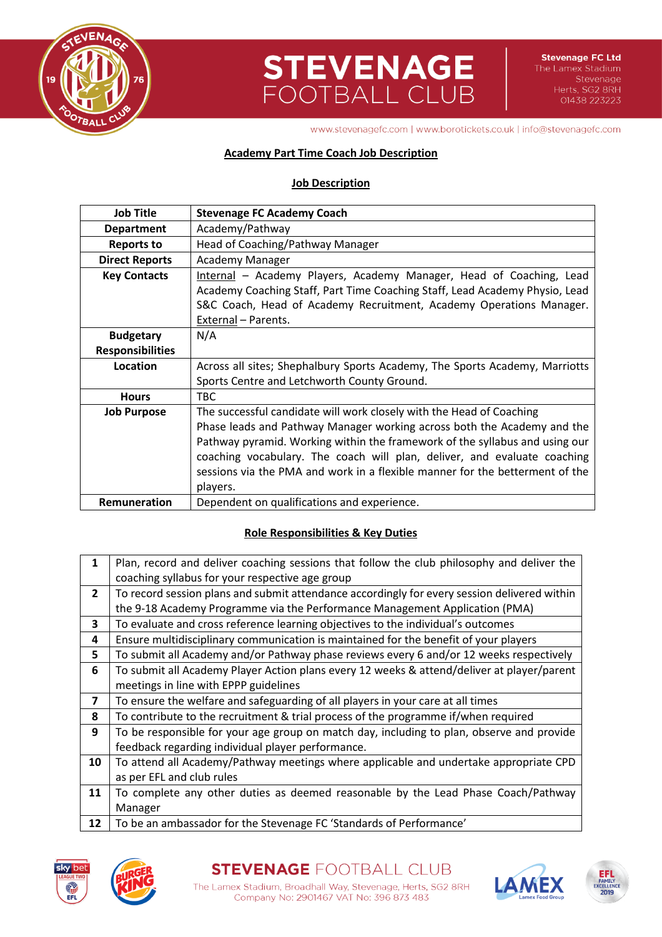

## **STEVENAGE**<br>FOOTBALL CLUB

www.stevenagefc.com | www.borotickets.co.uk | info@stevenagefc.com

## **Academy Part Time Coach Job Description**

### **Job Description**

| <b>Job Title</b>                                                                           | <b>Stevenage FC Academy Coach</b>                                            |  |  |  |
|--------------------------------------------------------------------------------------------|------------------------------------------------------------------------------|--|--|--|
| <b>Department</b>                                                                          | Academy/Pathway                                                              |  |  |  |
| <b>Reports to</b>                                                                          | Head of Coaching/Pathway Manager                                             |  |  |  |
| <b>Direct Reports</b>                                                                      | <b>Academy Manager</b>                                                       |  |  |  |
| <b>Key Contacts</b>                                                                        | Internal - Academy Players, Academy Manager, Head of Coaching, Lead          |  |  |  |
|                                                                                            | Academy Coaching Staff, Part Time Coaching Staff, Lead Academy Physio, Lead  |  |  |  |
|                                                                                            | S&C Coach, Head of Academy Recruitment, Academy Operations Manager.          |  |  |  |
|                                                                                            | External - Parents.                                                          |  |  |  |
| <b>Budgetary</b>                                                                           | N/A                                                                          |  |  |  |
| <b>Responsibilities</b>                                                                    |                                                                              |  |  |  |
| Location                                                                                   | Across all sites; Shephalbury Sports Academy, The Sports Academy, Marriotts  |  |  |  |
|                                                                                            | Sports Centre and Letchworth County Ground.                                  |  |  |  |
| <b>Hours</b>                                                                               | TBC.                                                                         |  |  |  |
| The successful candidate will work closely with the Head of Coaching<br><b>Job Purpose</b> |                                                                              |  |  |  |
|                                                                                            | Phase leads and Pathway Manager working across both the Academy and the      |  |  |  |
|                                                                                            | Pathway pyramid. Working within the framework of the syllabus and using our  |  |  |  |
|                                                                                            | coaching vocabulary. The coach will plan, deliver, and evaluate coaching     |  |  |  |
|                                                                                            | sessions via the PMA and work in a flexible manner for the betterment of the |  |  |  |
|                                                                                            | players.                                                                     |  |  |  |
| Remuneration                                                                               | Dependent on qualifications and experience.                                  |  |  |  |

### **Role Responsibilities & Key Duties**

| $\mathbf{1}$   | Plan, record and deliver coaching sessions that follow the club philosophy and deliver the   |  |  |
|----------------|----------------------------------------------------------------------------------------------|--|--|
|                | coaching syllabus for your respective age group                                              |  |  |
| $\overline{2}$ | To record session plans and submit attendance accordingly for every session delivered within |  |  |
|                | the 9-18 Academy Programme via the Performance Management Application (PMA)                  |  |  |
| 3              | To evaluate and cross reference learning objectives to the individual's outcomes             |  |  |
| 4              | Ensure multidisciplinary communication is maintained for the benefit of your players         |  |  |
| 5              | To submit all Academy and/or Pathway phase reviews every 6 and/or 12 weeks respectively      |  |  |
| 6              | To submit all Academy Player Action plans every 12 weeks & attend/deliver at player/parent   |  |  |
|                | meetings in line with EPPP guidelines                                                        |  |  |
| $\overline{ }$ | To ensure the welfare and safeguarding of all players in your care at all times              |  |  |
| 8              | To contribute to the recruitment & trial process of the programme if/when required           |  |  |
| 9              | To be responsible for your age group on match day, including to plan, observe and provide    |  |  |
|                | feedback regarding individual player performance.                                            |  |  |
| 10             | To attend all Academy/Pathway meetings where applicable and undertake appropriate CPD        |  |  |
|                | as per EFL and club rules                                                                    |  |  |
| 11             | To complete any other duties as deemed reasonable by the Lead Phase Coach/Pathway            |  |  |
|                | Manager                                                                                      |  |  |
| 12             | To be an ambassador for the Stevenage FC 'Standards of Performance'                          |  |  |





Company No: 2901467 VAT No: 396 873 483